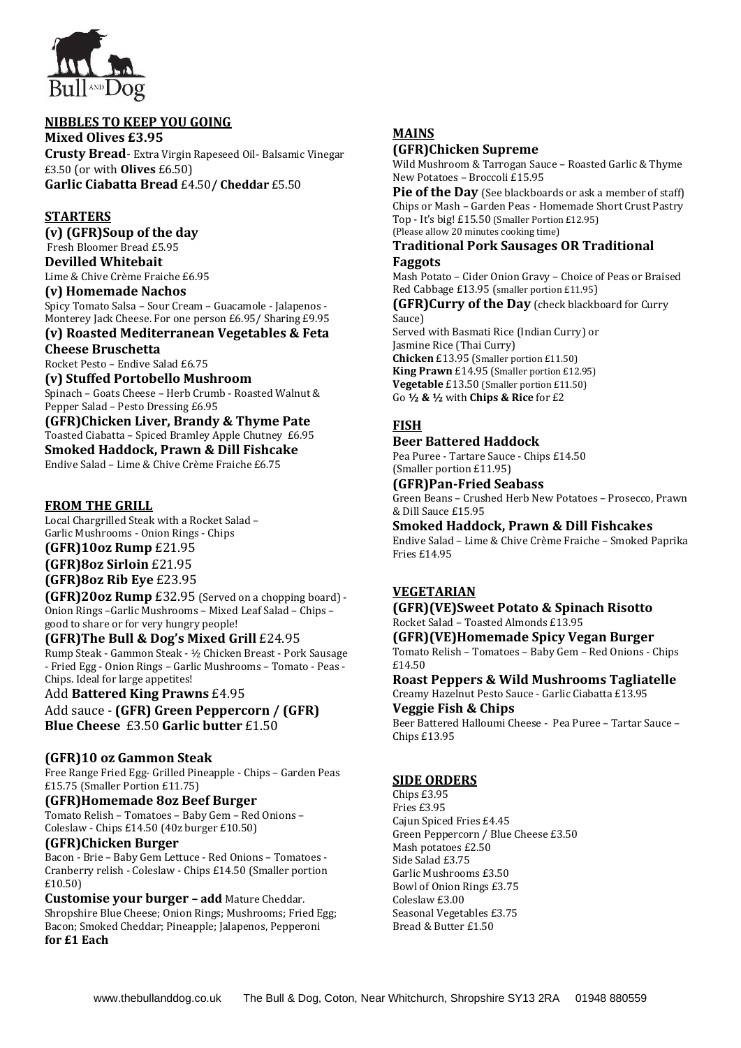

#### **NIBBLES TO KEEP YOU GOING**

**Mixed Olives £3.95 Crusty Bread**- Extra Virgin Rapeseed Oil- Balsamic Vinegar £3.50 (or with **Olives** £6.50) **Garlic Ciabatta Bread** £4.50**/ Cheddar** £5.50

#### **STARTERS**

**(v) (GFR)Soup of the day** Fresh Bloomer Bread £5.95 **Devilled Whitebait** Lime & Chive Crème Fraiche £6.95

# **(v) Homemade Nachos**

Spicy Tomato Salsa – Sour Cream – Guacamole - Jalapenos - Monterey Jack Cheese. For one person £6.95/ Sharing £9.95

#### **(v) Roasted Mediterranean Vegetables & Feta Cheese Bruschetta**

Rocket Pesto – Endive Salad £6.75

**(v) Stuffed Portobello Mushroom**

Spinach – Goats Cheese – Herb Crumb - Roasted Walnut & Pepper Salad – Pesto Dressing £6.95

#### **(GFR)Chicken Liver, Brandy & Thyme Pate** Toasted Ciabatta – Spiced Bramley Apple Chutney £6.95 **Smoked Haddock, Prawn & Dill Fishcake** Endive Salad – Lime & Chive Crème Fraiche £6.75

#### **FROM THE GRILL**

Local Chargrilled Steak with a Rocket Salad – Garlic Mushrooms - Onion Rings - Chips **(GFR)10oz Rump** £21.95

**(GFR)8oz Sirloin** £21.95

# **(GFR)8oz Rib Eye** £23.95

**(GFR)20oz Rump** £32.95 (Served on a chopping board) - Onion Rings –Garlic Mushrooms – Mixed Leaf Salad – Chips – good to share or for very hungry people!

#### **(GFR)The Bull & Dog's Mixed Grill** £24.95

Rump Steak - Gammon Steak - ½ Chicken Breast - Pork Sausage - Fried Egg - Onion Rings – Garlic Mushrooms – Tomato - Peas - Chips. Ideal for large appetites!

#### Add **Battered King Prawns** £4.95 Add sauce - **(GFR) Green Peppercorn / (GFR) Blue Cheese** £3.50 **Garlic butter** £1.50

## **(GFR)10 oz Gammon Steak**

Free Range Fried Egg- Grilled Pineapple - Chips – Garden Peas £15.75 (Smaller Portion £11.75)

#### **(GFR)Homemade 8oz Beef Burger**

Tomato Relish – Tomatoes – Baby Gem – Red Onions – Coleslaw - Chips £14.50 (40z burger £10.50)

## **(GFR)Chicken Burger**

Bacon - Brie – Baby Gem Lettuce - Red Onions – Tomatoes - Cranberry relish - Coleslaw - Chips £14.50 (Smaller portion £10.50)

**Customise your burger – add** Mature Cheddar. Shropshire Blue Cheese; Onion Rings; Mushrooms; Fried Egg; Bacon; Smoked Cheddar; Pineapple; Jalapenos, Pepperoni **for £1 Each**

# **MAINS**

#### **(GFR)Chicken Supreme**

Wild Mushroom & Tarrogan Sauce – Roasted Garlic & Thyme New Potatoes – Broccoli £15.95

**Pie of the Day** (See blackboards or ask a member of staff) Chips or Mash – Garden Peas - Homemade Short Crust Pastry Top - It's big! £15.50 (Smaller Portion £12.95) (Please allow 20 minutes cooking time)

#### **Traditional Pork Sausages OR Traditional Faggots**

Mash Potato – Cider Onion Gravy – Choice of Peas or Braised Red Cabbage £13.95 (smaller portion £11.95)

**(GFR)Curry of the Day** (check blackboard for Curry Sauce) Served with Basmati Rice (Indian Curry) or

Jasmine Rice (Thai Curry) **Chicken** £13.95 (Smaller portion £11.50) **King Prawn** £14.95 (Smaller portion £12.95) **Vegetable** £13.50 (Smaller portion £11.50) Go **½ & ½** with **Chips & Rice** for £2

# **FISH**

## **Beer Battered Haddock**

Pea Puree - Tartare Sauce - Chips £14.50 (Smaller portion £11.95)

#### **(GFR)Pan-Fried Seabass**

Green Beans – Crushed Herb New Potatoes – Prosecco, Prawn & Dill Sauce £15.95

#### **Smoked Haddock, Prawn & Dill Fishcakes**

Endive Salad – Lime & Chive Crème Fraiche – Smoked Paprika Fries £14.95

## **VEGETARIAN**

#### **(GFR)(VE)Sweet Potato & Spinach Risotto** Rocket Salad – Toasted Almonds £13.95

**(GFR)(VE)Homemade Spicy Vegan Burger** Tomato Relish – Tomatoes – Baby Gem – Red Onions - Chips £14.50

# **Roast Peppers & Wild Mushrooms Tagliatelle** Creamy Hazelnut Pesto Sauce - Garlic Ciabatta £13.95

**Veggie Fish & Chips**

Beer Battered Halloumi Cheese - Pea Puree – Tartar Sauce – Chips £13.95

## **SIDE ORDERS**

Chips £3.95 Fries £3.95 Cajun Spiced Fries £4.45 Green Peppercorn / Blue Cheese £3.50 Mash potatoes £2.50 Side Salad £3.75 Garlic Mushrooms £3.50 Bowl of Onion Rings £3.75 Coleslaw £3.00 Seasonal Vegetables £3.75 Bread & Butter £1.50